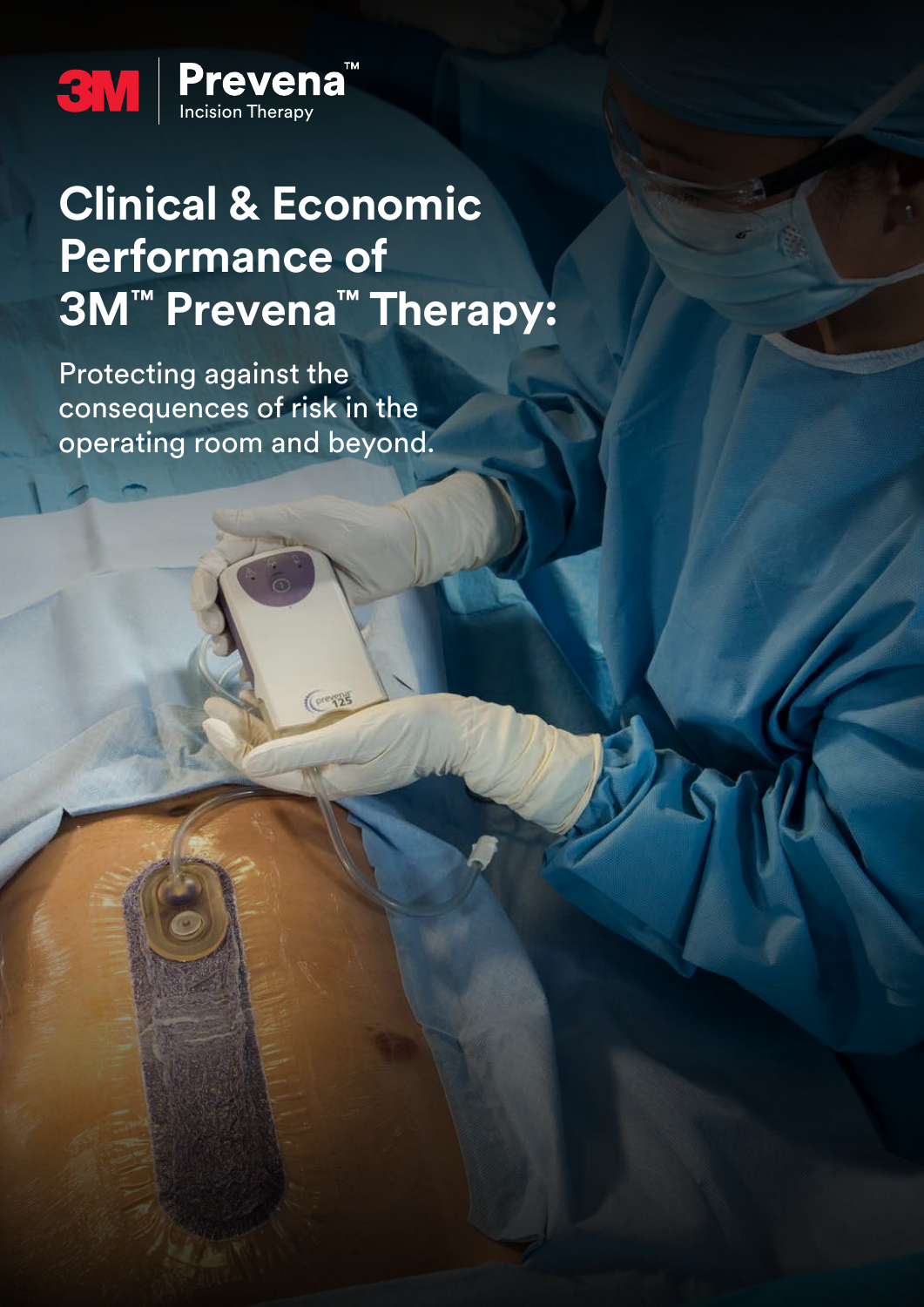

# **Clinical & Economic Performance of 3M™ Prevena™ Therapy:**

 $(0.125)$ 

Protecting against the consequences of risk in the operating room and beyond.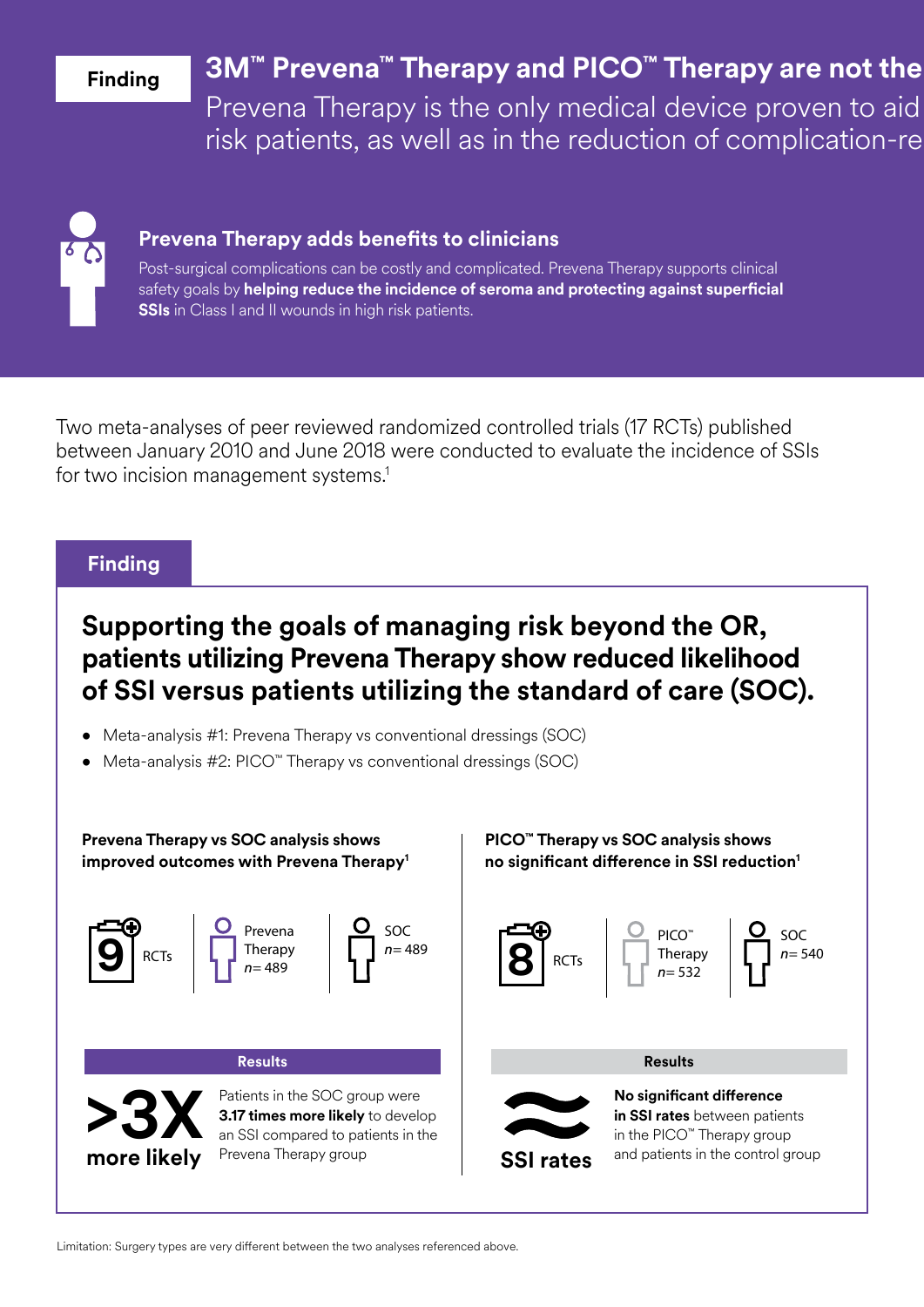### **Finding**

# **3M™ Prevena™ Therapy and PICO™ Therapy are not the**

Prevena Therapy is the only medical device proven to aid risk patients, as well as in the reduction of complication-re



#### **Prevena Therapy adds benefits to clinicians**

Post-surgical complications can be costly and complicated. Prevena Therapy supports clinical safety goals by **helping reduce the incidence of seroma and protecting against superficial SSIs** in Class I and II wounds in high risk patients.

Two meta-analyses of peer reviewed randomized controlled trials (17 RCTs) published between January 2010 and June 2018 were conducted to evaluate the incidence of SSIs for two incision management systems.<sup>1</sup>

#### **Finding**

## **Supporting the goals of managing risk beyond the OR, patients utilizing Prevena Therapy show reduced likelihood of SSI versus patients utilizing the standard of care (SOC).**

- Meta-analysis #1: Prevena Therapy vs conventional dressings (SOC)
- Meta-analysis #2: PICO™ Therapy vs conventional dressings (SOC)

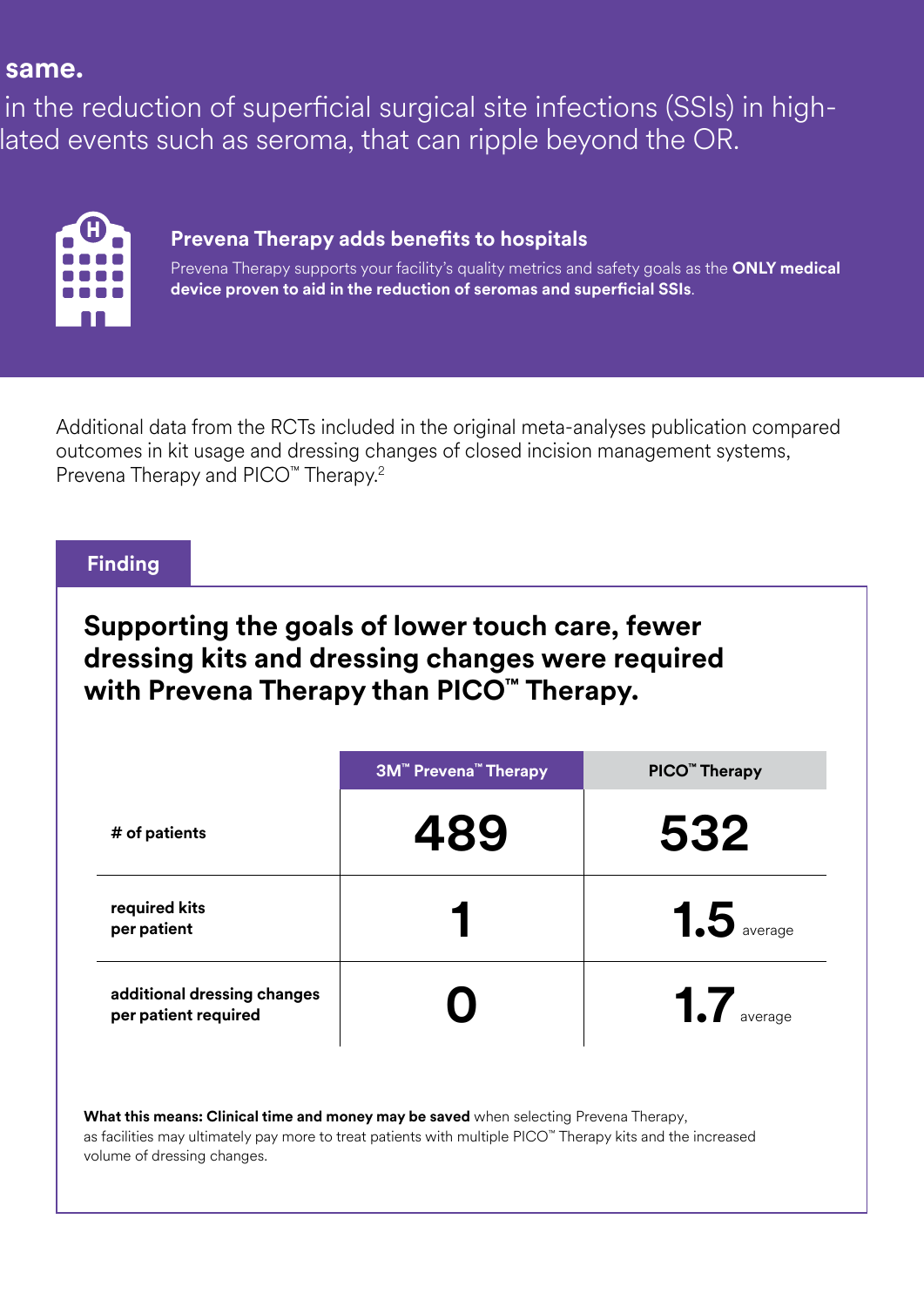## same.

in the reduction of superficial surgical site infections (SSIs) in highlated events such as seroma, that can ripple beyond the OR.

| IJ |         |   |  |  |
|----|---------|---|--|--|
|    | ٠<br>T. | n |  |  |
|    | a se    | H |  |  |
|    |         |   |  |  |

## **Prevena Therapy adds benefits to hospitals**

Prevena Therapy supports your facility's quality metrics and safety goals as the **ONLY medical device proven to aid in the reduction of seromas and superficial SSIs**.

Additional data from the RCTs included in the original meta-analyses publication compared outcomes in kit usage and dressing changes of closed incision management systems, Prevena Therapy and PICO<sup>™</sup> Therapy.<sup>2</sup>

#### **Finding**

## **Supporting the goals of lower touch care, fewer dressing kits and dressing changes were required with Prevena Therapy than PICO™ Therapy.**

|                                                     | <b>3M<sup>™</sup> Prevena<sup>™</sup> Therapy</b> | PICO <sup>™</sup> Therapy |
|-----------------------------------------------------|---------------------------------------------------|---------------------------|
| # of patients                                       | 489                                               | 532                       |
| required kits<br>per patient                        |                                                   | $1.5$ average             |
| additional dressing changes<br>per patient required |                                                   | 1.7<br>average            |

**What this means: Clinical time and money may be saved** when selecting Prevena Therapy, as facilities may ultimately pay more to treat patients with multiple PICO™ Therapy kits and the increased volume of dressing changes.